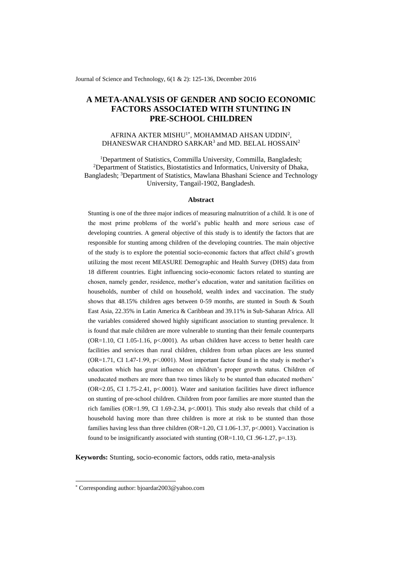Journal of Science and Technology, 6(1 & 2): 125-136, December 2016

# **A META-ANALYSIS OF GENDER AND SOCIO ECONOMIC FACTORS ASSOCIATED WITH STUNTING IN PRE-SCHOOL CHILDREN**

# AFRINA AKTER MISHU $^{\dagger *}$ , MOHAMMAD AHSAN UDDIN<sup>2</sup>, DHANESWAR CHANDRO SARKAR<sup>3</sup> and MD. BELAL HOSSAIN<sup>2</sup>

<sup>1</sup>Department of Statistics, Commilla University, Commilla, Bangladesh; <sup>2</sup>Department of Statistics, Biostatistics and Informatics, University of Dhaka, Bangladesh; <sup>3</sup>Department of Statistics, Mawlana Bhashani Science and Technology University, Tangail-1902, Bangladesh.

### **Abstract**

Stunting is one of the three major indices of measuring malnutrition of a child. It is one of the most prime problems of the world's public health and more serious case of developing countries. A general objective of this study is to identify the factors that are responsible for stunting among children of the developing countries. The main objective of the study is to explore the potential socio-economic factors that affect child's growth utilizing the most recent MEASURE Demographic and Health Survey (DHS) data from 18 different countries. Eight influencing socio-economic factors related to stunting are chosen, namely gender, residence, mother's education, water and sanitation facilities on households, number of child on household, wealth index and vaccination. The study shows that 48.15% children ages between 0-59 months, are stunted in South & South East Asia, 22.35% in Latin America & Caribbean and 39.11% in Sub-Saharan Africa. All the variables considered showed highly significant association to stunting prevalence. It is found that male children are more vulnerable to stunting than their female counterparts  $(OR=1.10, CI\ 1.05-1.16, p<.0001)$ . As urban children have access to better health care facilities and services than rural children, children from urban places are less stunted  $(OR=1.71, CI\ 1.47-1.99, p<.0001)$ . Most important factor found in the study is mother's education which has great influence on children's proper growth status. Children of uneducated mothers are more than two times likely to be stunted than educated mothers' (OR=2.05, CI 1.75-2.41, p<.0001). Water and sanitation facilities have direct influence on stunting of pre-school children. Children from poor families are more stunted than the rich families (OR=1.99, CI 1.69-2.34, p<.0001). This study also reveals that child of a household having more than three children is more at risk to be stunted than those families having less than three children (OR=1.20, CI 1.06-1.37, p<.0001). Vaccination is found to be insignificantly associated with stunting (OR=1.10, CI .96-1.27, p=.13).

**Keywords:** Stunting, socio-economic factors, odds ratio, meta-analysis

1

<sup>\*</sup> Corresponding author: bjoardar2003@yahoo.com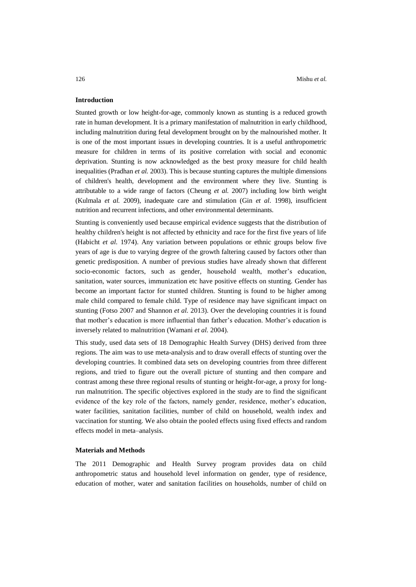# **Introduction**

Stunted growth or low height-for-age, commonly known as stunting is a reduced growth rate in human development. It is a primary manifestation of malnutrition in early childhood, including malnutrition during fetal development brought on by the malnourished mother. It is one of the most important issues in developing countries. It is a useful anthropometric measure for children in terms of its positive correlation with social and economic deprivation. Stunting is now acknowledged as the best proxy measure for child health inequalities (Pradhan *et al.* 2003). This is because stunting captures the multiple dimensions of children's health, development and the environment where they live. Stunting is attributable to a wide range of factors (Cheung *et al.* 2007) including low birth weight (Kulmala *et al.* 2009), inadequate care and stimulation (Gin *et al*. 1998), insufficient nutrition and recurrent infections, and other environmental determinants.

Stunting is conveniently used because empirical evidence suggests that the distribution of healthy children's height is not affected by ethnicity and race for the first five years of life (Habicht *et al.* 1974). Any variation between populations or ethnic groups below five years of age is due to varying degree of the growth faltering caused by factors other than genetic predisposition. A number of previous studies have already shown that different socio-economic factors, such as gender, household wealth, mother's education, sanitation, water sources, immunization etc have positive effects on stunting. Gender has become an important factor for stunted children. Stunting is found to be higher among male child compared to female child. Type of residence may have significant impact on stunting (Fotso 2007 and Shannon *et al.* 2013). Over the developing countries it is found that mother's education is more influential than father's education. Mother's education is inversely related to malnutrition (Wamani *et al.* 2004).

This study, used data sets of 18 Demographic Health Survey (DHS) derived from three regions. The aim was to use meta-analysis and to draw overall effects of stunting over the developing countries. It combined data sets on developing countries from three different regions, and tried to figure out the overall picture of stunting and then compare and contrast among these three regional results of stunting or height-for-age, a proxy for longrun malnutrition. The specific objectives explored in the study are to find the significant evidence of the key role of the factors, namely gender, residence, mother's education, water facilities, sanitation facilities, number of child on household, wealth index and vaccination for stunting. We also obtain the pooled effects using fixed effects and random effects model in meta–analysis.

#### **Materials and Methods**

The 2011 Demographic and Health Survey program provides data on child anthropometric status and household level information on gender, type of residence, education of mother, water and sanitation facilities on households, number of child on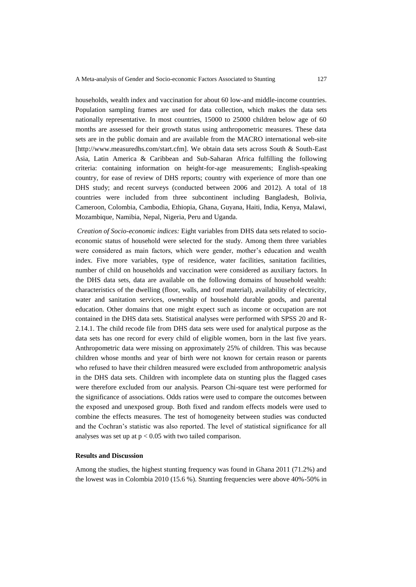households, wealth index and vaccination for about 60 low-and middle-income countries. Population sampling frames are used for data collection, which makes the data sets nationally representative. In most countries, 15000 to 25000 children below age of 60 months are assessed for their growth status using anthropometric measures. These data sets are in the public domain and are available from the MACRO international web-site [http://www.measuredhs.com/start.cfm]. We obtain data sets across South & South-East Asia, Latin America & Caribbean and Sub-Saharan Africa fulfilling the following criteria: containing information on height-for-age measurements; English-speaking country, for ease of review of DHS reports; country with experience of more than one DHS study; and recent surveys (conducted between 2006 and 2012). A total of 18 countries were included from three subcontinent including Bangladesh, Bolivia, Cameroon, Colombia, Cambodia, Ethiopia, Ghana, Guyana, Haiti, India, Kenya, Malawi, Mozambique, Namibia, Nepal, Nigeria, Peru and Uganda.

*Creation of Socio-economic indices:* Eight variables from DHS data sets related to socioeconomic status of household were selected for the study. Among them three variables were considered as main factors, which were gender, mother's education and wealth index. Five more variables, type of residence, water facilities, sanitation facilities, number of child on households and vaccination were considered as auxiliary factors. In the DHS data sets, data are available on the following domains of household wealth: characteristics of the dwelling (floor, walls, and roof material), availability of electricity, water and sanitation services, ownership of household durable goods, and parental education. Other domains that one might expect such as income or occupation are not contained in the DHS data sets. Statistical analyses were performed with SPSS 20 and R-2.14.1. The child recode file from DHS data sets were used for analytical purpose as the data sets has one record for every child of eligible women, born in the last five years. Anthropometric data were missing on approximately 25% of children. This was because children whose months and year of birth were not known for certain reason or parents who refused to have their children measured were excluded from anthropometric analysis in the DHS data sets. Children with incomplete data on stunting plus the flagged cases were therefore excluded from our analysis. Pearson Chi-square test were performed for the significance of associations. Odds ratios were used to compare the outcomes between the exposed and unexposed group. Both fixed and random effects models were used to combine the effects measures. The test of homogeneity between studies was conducted and the Cochran's statistic was also reported. The level of statistical significance for all analyses was set up at  $p < 0.05$  with two tailed comparison.

### **Results and Discussion**

Among the studies, the highest stunting frequency was found in Ghana 2011 (71.2%) and the lowest was in Colombia 2010 (15.6 %). Stunting frequencies were above 40%-50% in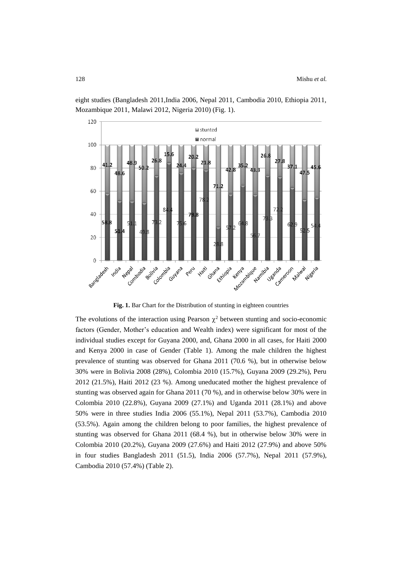

eight studies (Bangladesh 2011,India 2006, Nepal 2011, Cambodia 2010, Ethiopia 2011, Mozambique 2011, Malawi 2012, Nigeria 2010) (Fig. 1).

Fig. 1. Bar Chart for the Distribution of stunting in eighteen countries

The evolutions of the interaction using Pearson  $\chi^2$  between stunting and socio-economic factors (Gender, Mother's education and Wealth index) were significant for most of the individual studies except for Guyana 2000, and, Ghana 2000 in all cases, for Haiti 2000 and Kenya 2000 in case of Gender (Table 1). Among the male children the highest prevalence of stunting was observed for Ghana 2011 (70.6 %), but in otherwise below 30% were in Bolivia 2008 (28%), Colombia 2010 (15.7%), Guyana 2009 (29.2%), Peru 2012 (21.5%), Haiti 2012 (23 %). Among uneducated mother the highest prevalence of stunting was observed again for Ghana 2011 (70 %), and in otherwise below 30% were in Colombia 2010 (22.8%), Guyana 2009 (27.1%) and Uganda 2011 (28.1%) and above 50% were in three studies India 2006 (55.1%), Nepal 2011 (53.7%), Cambodia 2010 (53.5%). Again among the children belong to poor families, the highest prevalence of stunting was observed for Ghana 2011 (68.4 %), but in otherwise below 30% were in Colombia 2010 (20.2%), Guyana 2009 (27.6%) and Haiti 2012 (27.9%) and above 50% in four studies Bangladesh 2011 (51.5), India 2006 (57.7%), Nepal 2011 (57.9%), Cambodia 2010 (57.4%) (Table 2).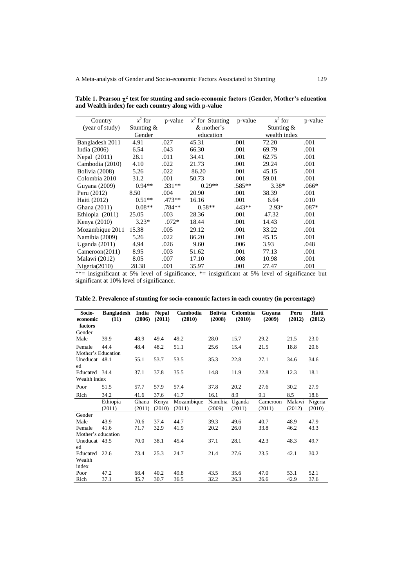| Country           | $x^2$ for  | p-value  | $x^2$ for Stunting | p-value  | $x^2$ for    | p-value |
|-------------------|------------|----------|--------------------|----------|--------------|---------|
| (year of study)   | Stunting & |          | & mother's         |          | Stunting &   |         |
|                   | Gender     |          | education          |          | wealth index |         |
| Bangladesh 2011   | 4.91       | .027     | 45.31              | .001     | 72.20        | .001    |
| India (2006)      | 6.54       | .043     | 66.30              | .001     | 69.79        | .001    |
| Nepal (2011)      | 28.1       | .011     | 34.41              | .001     | 62.75        | .001    |
| Cambodia (2010)   | 4.10       | .022     | 21.73              | .001     | 29.24        | .001    |
| Bolivia (2008)    | 5.26       | .022     | 86.20              | .001     | 45.15        | .001    |
| Colombia 2010     | 31.2       | .001     | 50.73              | .001     | 59.01        | .001    |
| Guyana (2009)     | $0.94**$   | $.331**$ | $0.29**$           | $.585**$ | $3.38*$      | $.066*$ |
| Peru (2012)       | 8.50       | .004     | 20.90              | .001     | 38.39        | .001    |
| Haiti (2012)      | $0.51**$   | $.473**$ | 16.16              | .001     | 6.64         | .010    |
| Ghana (2011)      | $0.08**$   | $.784**$ | $0.58**$           | $.443**$ | $2.93*$      | $.087*$ |
| Ethiopia $(2011)$ | 25.05      | .003     | 28.36              | .001     | 47.32        | .001    |
| Kenya (2010)      | $3.23*$    | $.072*$  | 18.44              | .001     | 14.43        | .001    |
| Mozambique 2011   | 15.38      | .005     | 29.12              | .001     | 33.22        | .001    |
| Namibia (2009)    | 5.26       | .022     | 86.20              | .001     | 45.15        | .001    |
| Uganda $(2011)$   | 4.94       | .026     | 9.60               | .006     | 3.93         | .048    |
| Cameroon(2011)    | 8.95       | .003     | 51.62              | .001     | 77.13        | .001    |
| Malawi (2012)     | 8.05       | .007     | 17.10              | .008     | 10.98        | .001    |
| Nigeria $(2010)$  | 28.38      | .001     | 35.97              | .001     | 27.47        | .001    |

Table 1. Pearson  $\chi^2$  test for stunting and socio-economic factors (Gender, Mother's education **and Wealth index) for each country along with p-value**

\*\*= insignificant at 5% level of significance, \*= insignificant at 5% level of significance but significant at 10% level of significance.

| Socio-<br>economic | <b>Bangladesh</b><br>(11) | India<br>(2006) | <b>Nepal</b><br>(2011) | Cambodia<br>(2010) | <b>Bolivia</b><br>(2008) | Colombia<br>(2010) | Guyana<br>(2009) | Peru<br>(2012) | Haiti<br>(2012) |
|--------------------|---------------------------|-----------------|------------------------|--------------------|--------------------------|--------------------|------------------|----------------|-----------------|
| factors            |                           |                 |                        |                    |                          |                    |                  |                |                 |
| Gender             |                           |                 |                        |                    |                          |                    |                  |                |                 |
| Male               | 39.9                      | 48.9            | 49.4                   | 49.2               | 28.0                     | 15.7               | 29.2             | 21.5           | 23.0            |
| Female             | 44.4                      | 48.4            | 48.2                   | 51.1               | 25.6                     | 15.4               | 21.5             | 18.8           | 20.6            |
| Mother's Education |                           |                 |                        |                    |                          |                    |                  |                |                 |
| Uneducat 48.1      |                           | 55.1            | 53.7                   | 53.5               | 35.3                     | 22.8               | 27.1             | 34.6           | 34.6            |
| ed                 |                           |                 |                        |                    |                          |                    |                  |                |                 |
| Educated 34.4      |                           | 37.1            | 37.8                   | 35.5               | 14.8                     | 11.9               | 22.8             | 12.3           | 18.1            |
| Wealth index       |                           |                 |                        |                    |                          |                    |                  |                |                 |
| Poor               | 51.5                      | 57.7            | 57.9                   | 57.4               | 37.8                     | 20.2               | 27.6             | 30.2           | 27.9            |
| Rich               | 34.2                      | 41.6            | 37.6                   | 41.7               | 16.1                     | 8.9                | 9.1              | 8.5            | 18.6            |
|                    | Ethiopia                  | Ghana           | Kenya                  | Mozambique         | Namibia                  | Uganda             | Cameroon         | Malawi         | Nigeria         |
|                    | (2011)                    | (2011)          | (2010)                 | (2011)             | (2009)                   | (2011)             | (2011)           | (2012)         | (2010)          |
| Gender             |                           |                 |                        |                    |                          |                    |                  |                |                 |
| Male               | 43.9                      | 70.6            | 37.4                   | 44.7               | 39.3                     | 49.6               | 40.7             | 48.9           | 47.9            |
| Female             | 41.6                      | 71.7            | 32.9                   | 41.9               | 20.2                     | 26.0               | 33.8             | 46.2           | 43.3            |
| Mother's education |                           |                 |                        |                    |                          |                    |                  |                |                 |
| Uneducat 43.5      |                           | 70.0            | 38.1                   | 45.4               | 37.1                     | 28.1               | 42.3             | 48.3           | 49.7            |
| ed                 |                           |                 |                        |                    |                          |                    |                  |                |                 |
| Educated           | 22.6                      | 73.4            | 25.3                   | 24.7               | 21.4                     | 27.6               | 23.5             | 42.1           | 30.2            |
| Wealth             |                           |                 |                        |                    |                          |                    |                  |                |                 |
| index              |                           |                 |                        |                    |                          |                    |                  |                |                 |
| Poor               | 47.2                      | 68.4            | 40.2                   | 49.8               | 43.5                     | 35.6               | 47.0             | 53.1           | 52.1            |
| Rich               | 37.1                      | 35.7            | 30.7                   | 36.5               | 32.2                     | 26.3               | 26.6             | 42.9           | 37.6            |

**Table 2. Prevalence of stunting for socio-economic factors in each country (in percentage)**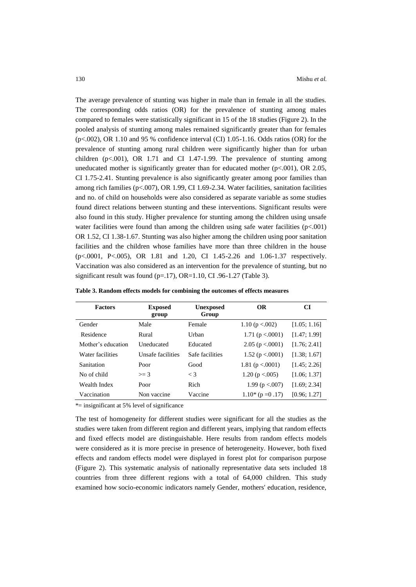The average prevalence of stunting was higher in male than in female in all the studies. The corresponding odds ratios (OR) for the prevalence of stunting among males compared to females were statistically significant in 15 of the 18 studies (Figure 2). In the pooled analysis of stunting among males remained significantly greater than for females (p<.002), OR 1.10 and 95 % confidence interval (CI) 1.05-1.16. Odds ratios (OR) for the prevalence of stunting among rural children were significantly higher than for urban children ( $p<0.001$ ), OR 1.71 and CI 1.47-1.99. The prevalence of stunting among uneducated mother is significantly greater than for educated mother  $(p<.001)$ , OR 2.05, CI 1.75-2.41. Stunting prevalence is also significantly greater among poor families than among rich families (p<.007), OR 1.99, CI 1.69-2.34. Water facilities, sanitation facilities and no. of child on households were also considered as separate variable as some studies found direct relations between stunting and these interventions. Significant results were also found in this study. Higher prevalence for stunting among the children using unsafe water facilities were found than among the children using safe water facilities  $(p<.001)$ OR 1.52, CI 1.38-1.67. Stunting was also higher among the children using poor sanitation facilities and the children whose families have more than three children in the house (p<.0001, P<.005), OR 1.81 and 1.20, CI 1.45-2.26 and 1.06-1.37 respectively. Vaccination was also considered as an intervention for the prevalence of stunting, but no significant result was found (p=.17), OR=1.10, CI .96-1.27 (Table 3).

| <b>Factors</b>     | <b>Exposed</b><br>group | <b>Unexposed</b><br>Group | <b>OR</b>            | CI           |
|--------------------|-------------------------|---------------------------|----------------------|--------------|
| Gender             | Male                    | Female                    | 1.10 ( $p < 0.002$ ) | [1.05; 1.16] |
| Residence          | Rural                   | Urban                     | 1.71 ( $p < .0001$ ) | [1.47; 1.99] |
| Mother's education | Uneducated              | Educated                  | 2.05 ( $p < 0001$ )  | [1.76; 2.41] |
| Water facilities   | Unsafe facilities       | Safe facilities           | 1.52 ( $p < .0001$ ) | [1.38; 1.67] |
| Sanitation         | Poor                    | Good                      | 1.81 ( $p < .0001$ ) | [1.45; 2.26] |
| No of child        | $\geq$ 3                | $\leq 3$                  | 1.20 ( $p < 0.005$ ) | [1.06; 1.37] |
| Wealth Index       | Poor                    | Rich                      | 1.99 ( $p < 007$ )   | [1.69; 2.34] |
| Vaccination        | Non vaccine             | Vaccine                   | $1.10*(p=0.17)$      | [0.96; 1.27] |

**Table 3. Random effects models for combining the outcomes of effects measures**

\*= insignificant at 5% level of significance

The test of homogeneity for different studies were significant for all the studies as the studies were taken from different region and different years, implying that random effects and fixed effects model are distinguishable. Here results from random effects models were considered as it is more precise in presence of heterogeneity. However, both fixed effects and random effects model were displayed in forest plot for comparison purpose (Figure 2). This systematic analysis of nationally representative data sets included 18 countries from three different regions with a total of 64,000 children. This study examined how socio-economic indicators namely Gender, mothers' education, residence,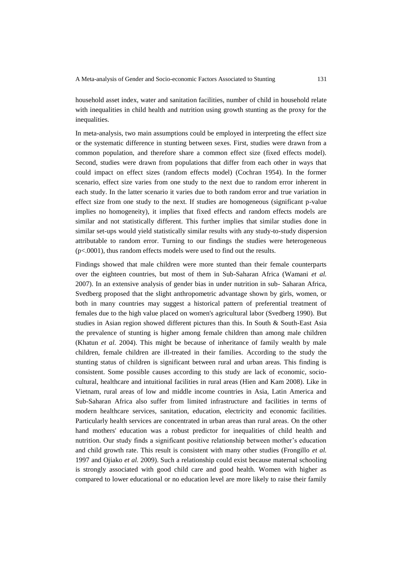household asset index, water and sanitation facilities, number of child in household relate with inequalities in child health and nutrition using growth stunting as the proxy for the inequalities.

In meta-analysis, two main assumptions could be employed in interpreting the effect size or the systematic difference in stunting between sexes. First, studies were drawn from a common population, and therefore share a common effect size (fixed effects model). Second, studies were drawn from populations that differ from each other in ways that could impact on effect sizes (random effects model) (Cochran 1954). In the former scenario, effect size varies from one study to the next due to random error inherent in each study. In the latter scenario it varies due to both random error and true variation in effect size from one study to the next. If studies are homogeneous (significant p-value implies no homogeneity), it implies that fixed effects and random effects models are similar and not statistically different. This further implies that similar studies done in similar set-ups would yield statistically similar results with any study-to-study dispersion attributable to random error. Turning to our findings the studies were heterogeneous (p<.0001), thus random effects models were used to find out the results.

Findings showed that male children were more stunted than their female counterparts over the eighteen countries, but most of them in Sub-Saharan Africa (Wamani *et al.* 2007). In an extensive analysis of gender bias in under nutrition in sub- Saharan Africa, Svedberg proposed that the slight anthropometric advantage shown by girls, women, or both in many countries may suggest a historical pattern of preferential treatment of females due to the high value placed on women's agricultural labor (Svedberg 1990). But studies in Asian region showed different pictures than this. In South & South-East Asia the prevalence of stunting is higher among female children than among male children (Khatun *et al.* 2004). This might be because of inheritance of family wealth by male children, female children are ill-treated in their families. According to the study the stunting status of children is significant between rural and urban areas. This finding is consistent. Some possible causes according to this study are lack of economic, sociocultural, healthcare and intuitional facilities in rural areas (Hien and Kam 2008). Like in Vietnam, rural areas of low and middle income countries in Asia, Latin America and Sub-Saharan Africa also suffer from limited infrastructure and facilities in terms of modern healthcare services, sanitation, education, electricity and economic facilities. Particularly health services are concentrated in urban areas than rural areas. On the other hand mothers' education was a robust predictor for inequalities of child health and nutrition. Our study finds a significant positive relationship between mother's education and child growth rate. This result is consistent with many other studies (Frongillo *et al.* 1997 and Ojiako *et al.* 2009). Such a relationship could exist because maternal schooling is strongly associated with good child care and good health. Women with higher as compared to lower educational or no education level are more likely to raise their family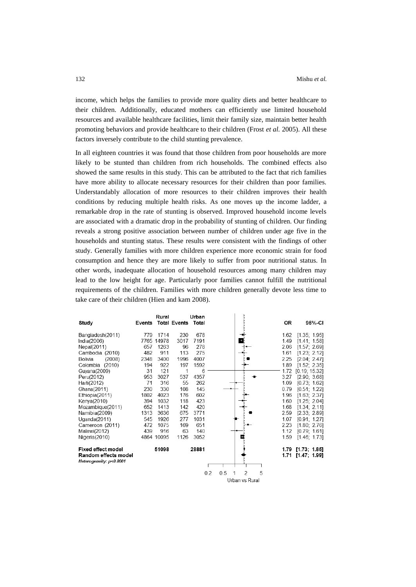income, which helps the families to provide more quality diets and better healthcare to their children. Additionally, educated mothers can efficiently use limited household resources and available healthcare facilities, limit their family size, maintain better health promoting behaviors and provide healthcare to their children (Frost *et al.* 2005). All these factors inversely contribute to the child stunting prevalence.

In all eighteen countries it was found that those children from poor households are more likely to be stunted than children from rich households. The combined effects also showed the same results in this study. This can be attributed to the fact that rich families have more ability to allocate necessary resources for their children than poor families. Understandably allocation of more resources to their children improves their health conditions by reducing multiple health risks. As one moves up the income ladder, a remarkable drop in the rate of stunting is observed. Improved household income levels are associated with a dramatic drop in the probability of stunting of children. Our finding reveals a strong positive association between number of children under age five in the households and stunting status. These results were consistent with the findings of other study. Generally families with more children experience more economic strain for food consumption and hence they are more likely to suffer from poor nutritional status. In other words, inadequate allocation of household resources among many children may lead to the low height for age. Particularly poor families cannot fulfill the nutritional requirements of the children. Families with more children generally devote less time to take care of their children (Hien and kam 2008).

|                           | Events | Rural      | <b>Total Events</b> | Urban<br>Total | ă                                           | 0R   | 95%-CI            |
|---------------------------|--------|------------|---------------------|----------------|---------------------------------------------|------|-------------------|
| Study                     |        |            |                     |                |                                             |      |                   |
| Bangladesh(2011)          | 779    | 1714       | 230                 | 678            |                                             | 1.62 | [1.35; 1.95]      |
| India(2006)               |        | 7765 14978 | 3017                | 7191           |                                             | 1.49 | [1.41; 1.58]      |
| Nepal(2011)               | 657    | 1263       | 96                  | 278            |                                             | 2.06 | [1.57; 2.69]      |
| Cambodia (2010)           | 482    | 911        | 113                 | 275            |                                             | 1.61 | [1.23; 2.12]      |
| Bolivia<br>(2008)         | 2348   | 3400       | 1996                | 4007           |                                             | 2.25 | [2.04; 2.47]      |
| Colombia (2010)           | 194    | 922        | 197                 | 1592           |                                             | 1.89 | [1.52; 2.35]      |
| Guyana(2009)              | 31     | 121        | 1                   | 6              |                                             | 1.72 | [0.19; 15.32]     |
| Peru(2012)                | 953    | 3027       | 537                 | 4357           |                                             | 3.27 | [2.90; 3.68]      |
| Haiti(2012)               | 71     | 316        | 55                  | 262            |                                             | 1.09 | [0.73; 1.62]      |
| Ghana(2011)               | 230    | 330        | 108                 | 145            |                                             | 0.79 | [0.51; 1.22]      |
| Ethiopia(2011)            | 1802   | 4023       | 176                 | 602            |                                             | 1.96 | [1.63; 2.37]      |
| Kenya(2010)               | 394    | 1032       | 118                 | 423            |                                             | 1.60 | [1.25; 2.04]      |
| Mozambique(2011)          | 652    | 1413       | 142                 | 420            |                                             | 1.68 | [1.34; 2.11]      |
| Namibia(2009)             | 1313   | 3636       | 675                 | 3771           |                                             | 2.59 | [2.33; 2.89]      |
| Uqanda(2011)              | 545    | 1926       | 277                 | 1031           |                                             | 1.07 | [0.91; 1.27]      |
| Cameroon (2011)           | 472    | 1075       | 169                 | 651            |                                             | 2.23 | [1.80; 2.76]      |
| Malawi(2012)              | 439    | 916        | 63                  | 140            |                                             | 1.12 | [0.79; 1.61]      |
| Nigeria(2010)             |        | 4864 10095 | 1126                | 3052           | œ                                           | 1.59 | [1.46; 1.73]      |
| <b>Fixed effect model</b> |        | 51098      |                     | 28881          |                                             |      | 1.79 [1.73; 1.85] |
| Random effects model      |        |            |                     |                |                                             |      | 1.71 [1.47; 1.99] |
| Heterogeneity: p<0.0001   |        |            |                     |                |                                             |      |                   |
|                           |        |            |                     |                | $\overline{\phantom{a}}$<br>5<br>0.2<br>0.5 |      |                   |
|                           |        |            |                     |                | Urban vs Rural                              |      |                   |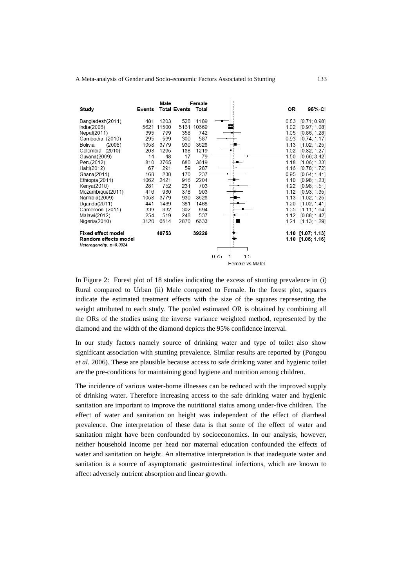|                           |        | Male  |                     | Female |      |                 |      |                   |
|---------------------------|--------|-------|---------------------|--------|------|-----------------|------|-------------------|
| Study                     | Events |       | <b>Total Events</b> | Total  |      |                 | 0R   | 95%-CI            |
| Bangladesh(2011)          | 481    | 1203  | 528                 | 1189   |      |                 | 0.83 | [0.71; 0.98]      |
| India $(2006)$            | 5621   | 11500 | 5161                | 10669  |      |                 | 1.02 | [0.97; 1.08]      |
| Nepal(2011)               | 395    | 799   | 358                 | 742    |      |                 | 1.05 | [0.86; 1.28]      |
| Cambodia (2010)           | 295    | 599   | 300                 | 587    |      |                 | 0.93 | [0.74; 1.17]      |
| Bolivia<br>(2008)         | 1058   | 3779  | 930                 | 3628   |      |                 | 1.13 | [1.02; 1.25]      |
| Colombia (2010)           | 203    | 1295  | 188                 | 1219   |      |                 | 1.02 | [0.82; 1.27]      |
| Guyana(2009)              | 14     | 48    | 17                  | 79     |      |                 | 1.50 | [0.66; 3.42]      |
| Peru(2012)                | 810    | 3765  | 680                 | 3619   |      |                 | 1.18 | [1.06; 1.33]      |
| Haiti(2012)               | 67     | 291   | 59                  | 287    |      |                 | 1.16 | [0.78; 1.72]      |
| Ghana(2011)               | 168    | 238   | 170                 | 237    |      |                 | 0.95 | [0.64; 1.41]      |
| Ethiopia(2011)            | 1062   | 2421  | 916                 | 2204   |      |                 | 1.10 | [0.98; 1.23]      |
| Kenya(2010)               | 281    | 752   | 231                 | 703    |      |                 | 1.22 | [0.98; 1.51]      |
| Mozambique(2011)          | 416    | 930   | 378                 | 903    |      |                 | 1.12 | [0.93; 1.35]      |
| Namibia(2009)             | 1058   | 3779  | 930                 | 3628   |      |                 | 1.13 | [1.02; 1.25]      |
| Uganda $(2011)$           | 441    | 1489  | 381                 | 1468   |      |                 | 1.20 | [1.02; 1.41]      |
| Cameroon (2011)           | 339    | 832   | 302                 | 894    |      |                 | 1.35 | [1.11; 1.64]      |
| Malawi(2012)              | 254    | 519   | 248                 | 537    |      |                 | 1.12 | [0.88; 1.42]      |
| Nigeria(2010)             | 3120   | 6514  | 2870                | 6633   |      |                 | 1.21 | [1.13, 1.29]      |
| <b>Fixed effect model</b> |        | 40753 |                     | 39226  |      |                 |      | 1.10 [1.07; 1.13] |
| Random effects model      |        |       |                     |        |      |                 |      | 1.10 [1.05; 1.16] |
| Heterogeneity: p=0.0024   |        |       |                     |        |      |                 |      |                   |
|                           |        |       |                     |        |      |                 |      |                   |
|                           |        |       |                     |        | 0.75 | 1.5<br>1        |      |                   |
|                           |        |       |                     |        |      | Female vs Malel |      |                   |

In Figure 2:Forest plot of 18 studies indicating the excess of stunting prevalence in (i) Rural compared to Urban (ii) Male compared to Female. In the forest plot, squares indicate the estimated treatment effects with the size of the squares representing the weight attributed to each study. The pooled estimated OR is obtained by combining all the ORs of the studies using the inverse variance weighted method, represented by the diamond and the width of the diamond depicts the 95% confidence interval.

In our study factors namely source of drinking water and type of toilet also show significant association with stunting prevalence. Similar results are reported by (Pongou *et al.* 2006)*.* These are plausible because access to safe drinking water and hygienic toilet are the pre-conditions for maintaining good hygiene and nutrition among children.

The incidence of various water-borne illnesses can be reduced with the improved supply of drinking water. Therefore increasing access to the safe drinking water and hygienic sanitation are important to improve the nutritional status among under-five children. The effect of water and sanitation on height was independent of the effect of diarrheal prevalence. One interpretation of these data is that some of the effect of water and sanitation might have been confounded by socioeconomics. In our analysis, however, neither household income per head nor maternal education confounded the effects of water and sanitation on height. An alternative interpretation is that inadequate water and sanitation is a source of asymptomatic gastrointestinal infections, which are known to affect adversely nutrient absorption and linear growth.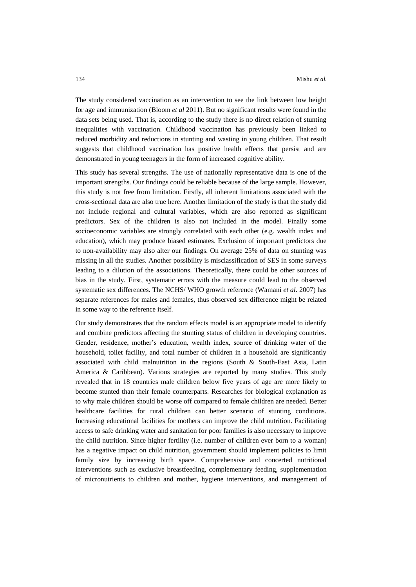The study considered vaccination as an intervention to see the link between low height for age and immunization (Bloom *et al* 2011). But no significant results were found in the data sets being used. That is, according to the study there is no direct relation of stunting inequalities with vaccination. Childhood vaccination has previously been linked to reduced morbidity and reductions in stunting and wasting in young children. That result suggests that childhood vaccination has positive health effects that persist and are demonstrated in young teenagers in the form of increased cognitive ability.

This study has several strengths. The use of nationally representative data is one of the important strengths. Our findings could be reliable because of the large sample. However, this study is not free from limitation. Firstly, all inherent limitations associated with the cross-sectional data are also true here. Another limitation of the study is that the study did not include regional and cultural variables, which are also reported as significant predictors. Sex of the children is also not included in the model. Finally some socioeconomic variables are strongly correlated with each other (e.g. wealth index and education), which may produce biased estimates. Exclusion of important predictors due to non-availability may also alter our findings. On average 25% of data on stunting was missing in all the studies. Another possibility is misclassification of SES in some surveys leading to a dilution of the associations. Theoretically, there could be other sources of bias in the study. First, systematic errors with the measure could lead to the observed systematic sex differences. The NCHS/ WHO growth reference (Wamani *et al*. 2007) has separate references for males and females, thus observed sex difference might be related in some way to the reference itself.

Our study demonstrates that the random effects model is an appropriate model to identify and combine predictors affecting the stunting status of children in developing countries. Gender, residence, mother's education, wealth index, source of drinking water of the household, toilet facility, and total number of children in a household are significantly associated with child malnutrition in the regions (South & South-East Asia, Latin America & Caribbean). Various strategies are reported by many studies. This study revealed that in 18 countries male children below five years of age are more likely to become stunted than their female counterparts. Researches for biological explanation as to why male children should be worse off compared to female children are needed. Better healthcare facilities for rural children can better scenario of stunting conditions. Increasing educational facilities for mothers can improve the child nutrition. Facilitating access to safe drinking water and sanitation for poor families is also necessary to improve the child nutrition. Since higher fertility (i.e. number of children ever born to a woman) has a negative impact on child nutrition, government should implement policies to limit family size by increasing birth space. Comprehensive and concerted nutritional interventions such as exclusive breastfeeding, complementary feeding, supplementation of micronutrients to children and mother, hygiene interventions, and management of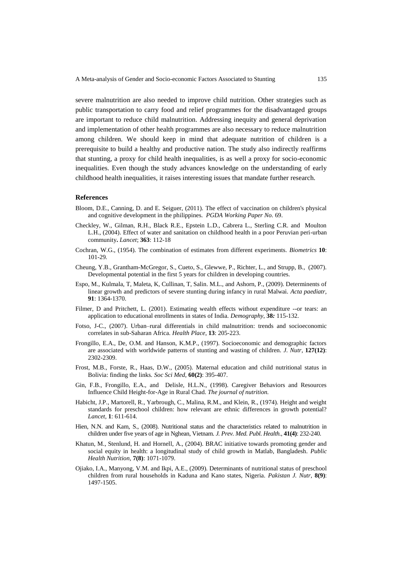severe malnutrition are also needed to improve child nutrition. Other strategies such as public transportation to carry food and relief programmes for the disadvantaged groups are important to reduce child malnutrition. Addressing inequity and general deprivation and implementation of other health programmes are also necessary to reduce malnutrition among children. We should keep in mind that adequate nutrition of children is a prerequisite to build a healthy and productive nation. The study also indirectly reaffirms that stunting, a proxy for child health inequalities, is as well a proxy for socio-economic inequalities. Even though the study advances knowledge on the understanding of early childhood health inequalities, it raises interesting issues that mandate further research.

# **References**

- Bloom, D.E., Canning, D. and E. Seiguer, (2011). The effect of vaccination on children's physical and cognitive development in the philippines. *PGDA Working Paper No.* 69.
- Checkley, W., Gilman, R.H., Black R.E., Epstein L.D., Cabrera L., Sterling C.R. and Moulton L.H., (2004). Effect of water and sanitation on childhood health in a poor Peruvian peri-urban community**.** *Lancet*; **363**: 112-18
- Cochran, W.G., (1954). The combination of estimates from different experiments. *Biometrics* **10**: 101-29*.*
- Cheung, Y.B., Grantham-McGregor, S., Cueto, S., Glewwe, P., Richter, L., and Strupp, B., (2007). Developmental potential in the first 5 years for children in developing countries.
- Espo, M., Kulmala, T, Maleta, K, Cullinan, T, Salin. M.L., and Ashorn, P., (2009). Determinents of linear growth and predictors of severe stunting during infancy in rural Malwai. *Acta paediatr,*  **91**: 1364-1370.
- Filmer, D and Pritchett, L. (2001). Estimating wealth effects without expenditure --or tears: an application to educational enrollments in states of India. *Demography*, **38***:* 115-132.
- Fotso, J-C., (2007). Urban–rural differentials in child malnutrition: trends and socioeconomic correlates in sub-Saharan Africa. *Health Place*, **13**: 205-223.
- Frongillo, E.A., De, O.M. and Hanson, K.M.P., (1997). Socioeconomic and demographic factors are associated with worldwide patterns of stunting and wasting of children*. J. Nutr*, **127(12)**: 2302-2309.
- Frost, M.B., Forste, R., Haas, D.W., (2005). Maternal education and child nutritional status in Bolivia: finding the links*. Soc Sci Med*, **60(2)**: 395-407.
- Gin, F.B., Frongillo, E.A., and Delisle, H.L.N., (1998). Caregiver Behaviors and Resources Influence Child Height-for-Age in Rural Chad. *The journal of nutrition.*
- Habicht, J.P., Martorell, R., Yarbrough, C., Malina, R.M., and Klein, R., (1974). Height and weight standards for preschool children: how relevant are ethnic differences in growth potential? *Lancet,* **1**: 611-614.
- Hien, N.N. and Kam, S., (2008). Nutritional status and the characteristics related to malnutrition in children under five years of age in Nghean, Vietnam*. J. Prev. Med. Publ. Health.*, **41(4)**: 232-240.
- Khatun, M., Stenlund, H. and Hornell, A., (2004). BRAC initiative towards promoting gender and social equity in health: a longitudinal study of child growth in Matlab, Bangladesh. *Public Health Nutrition,* **7(8)**: 1071-1079.
- Ojiako, I.A., Manyong, V.M. and Ikpi, A.E., (2009). Determinants of nutritional status of preschool children from rural households in Kaduna and Kano states, Nigeria. *Pakistan J. Nutr*, **8(9)**: 1497-1505.